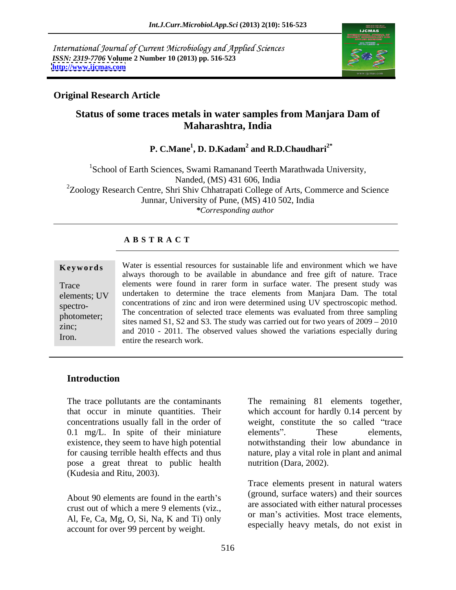International Journal of Current Microbiology and Applied Sciences *ISSN: 2319-7706* **Volume 2 Number 10 (2013) pp. 516-523 <http://www.ijcmas.com>**



#### **Original Research Article**

# **Status of some traces metals in water samples from Manjara Dam of Maharashtra, India**

**P. C.Mane<sup>1</sup> , D. D.Kadam<sup>2</sup> and R.D.Chaudhari2\***

<sup>1</sup>School of Earth Sciences, Swami Ramanand Teerth Marathwada University, Nanded, (MS) 431 606, India <sup>2</sup>Zoology Research Centre, Shri Shiv Chhatrapati College of Arts, Commerce and Science Junnar, University of Pune, (MS) 410 502, India *\*Corresponding author*

#### **A B S T R A C T**

**Keywords** Water is essential resources for sustainable life and environment which we have Trace elements were found in rarer form in surface water. The present study was elements; UV undertaken to determine the trace elements from Manjara Dam. The total spectro- concentrations of zinc and iron were determined using UV spectroscopic method. photometer;<br>sites named S1, S2 and S3. The study was carried out for two years of 2009 – 2010 zinc;<br> $\frac{\text{snc}}{\text{nd}}$  and  $\frac{2010}{101}$  and  $\frac{2011}{100}$  and  $\frac{2011}{100}$  and  $\frac{2011}{100}$  and  $\frac{2011}{100}$  and  $\frac{2011}{100}$  and  $\frac{2011}{100}$  and  $\frac{2011}{100}$  and  $\frac{2011}{100}$  and  $\frac{2011}{100}$  and  $\frac{2$  $\text{Im}$ . and 2010 - 2011. The observed values showed the variations especially during  $\text{Im}$ . always thorough to be available in abundance and free gift of nature. Trace The concentration of selected trace elements was evaluated from three sampling entire the research work.

### **Introduction**

concentrations usually fall in the order of 0.1 mg/L. In spite of their miniature elements'. These elements, pose a great threat to public health (Kudesia and Ritu, 2003).

About 90 elements are found in the earth's crust out of which a mere 9 elements (viz., Al, Fe, Ca, Mg, O, Si, Na, K and Ti) only account for over 99 percent by weight.

The trace pollutants are the contaminants The remaining 81 elements together, that occur in minute quantities. Their which account for hardly 0.14 percent by existence, they seem to have high potential notwithstanding their low abundance in for causing terrible health effects and thus nature, play a vital role in plant and animal weight, constitute the so called "trace" elements". These elements, nutrition (Dara, 2002).

> Trace elements present in natural waters (ground, surface waters) and their sources are associated with either natural processes or man's activities. Most trace elements, especially heavy metals, do not exist in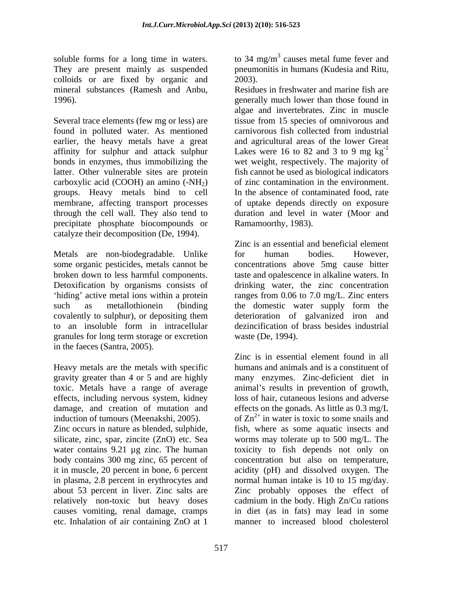colloids or are fixed by organic and 2003).

Several trace elements (few mg or less) are tissue from 15 species of omnivorous and found in polluted water. As mentioned earlier, the heavy metals have a great and agricultural areas of the lower Great affinity for sulphur and attack sulphur Lakes were 16 to 82 and 3 to 9 mg  $kg^{-1}$ bonds in enzymes, thus immobilizing the wet weight, respectively. The majority of latter. Other vulnerable sites are protein fish cannot be used as biological indicators carboxylic acid (COOH) an amino  $(-NH<sub>2</sub>)$ groups. Heavy metals bind to cell membrane, affecting transport processes of uptake depends directly on exposure through the cell wall. They also tend to duration and level in water (Moor and precipitate phosphate biocompounds or catalyze their decomposition (De, 1994).

Metals are non-biodegradable. Unlike for human bodies. However, Detoxification by organisms consists of covalently to sulphur), or depositing them granules for long term storage or excretion in the faeces (Santra, 2005).

Heavy metals are the metals with specific<br>gravity greater than 4 or 5 and are highly toxic. Metals have a range of average effects, including nervous system, kidney

Zinc occurs in nature as blended, sulphide, etc. Inhalation of air containing ZnO at 1

soluble forms for a long time in waters. to 34 mg/m<sup>3</sup> causes metal fume fever and They are present mainly as suspended pneumonitis in humans (Kudesia and Ritu, 2003).

mineral substances (Ramesh and Anbu, Residues in freshwater and marine fish are 1996). generally much lower than those found in algae and invertebrates. Zinc in muscle carnivorous fish collected from industrial -1 of zinc contamination in the environment. In the absence of contaminated food, rate Ramamoorthy, 1983).

some organic pesticides, metals cannot be concentrations above 5mg cause bitter broken down to less harmful components. taste and opalescence in alkaline waters. In hiding' active metal ions within a protein ranges from 0.06 to 7.0 mg/L. Zinc enters such as metallothionein (binding the domestic water supply form the to an insoluble form in intracellular Zinc is an essential and beneficial element for human bodies. However, drinking water, the zinc concentration deterioration of galvanized iron and dezincification of brass besides industrial waste (De, 1994).

gravity greater than 4 or 5 and are highly many enzymes. Zinc-deficient diet in damage, and creation of mutation and effects on the gonads. As little as 0.3 mg/L induction of tumours (Meenakshi, 2005).  $\qquad \qquad$  of  $\text{Zn}^{2+}$  in water is toxic to some snails and silicate, zinc, spar, zincite (ZnO) etc. Sea worms may tolerate up to 500 mg/L. The water contains 9.21 µg zinc. The human toxicity to fish depends not only on body contains 300 mg zinc, 65 percent of concentration but also on temperature, it in muscle, 20 percent in bone, 6 percent acidity (pH) and dissolved oxygen. The in plasma, 2.8 percent in erythrocytes and normal human intake is 10 to 15 mg/day. about 53 percent in liver. Zinc salts are <br>Zinc probably opposes the effect of relatively non-toxic but heavy doses cadmium in the body. High Zn/Cu rations causes vomiting, renal damage, cramps in diet (as in fats) may lead in some Zinc is in essential element found in all humans and animals and is a constituent of animal's results in prevention of growth, loss of hair, cutaneous lesions and adverse fish, where as some aquatic insects and manner to increased blood cholesterol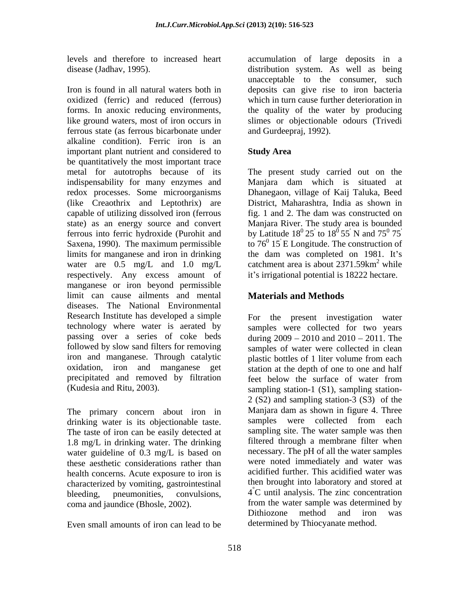Iron is found in all natural waters both in deposits can give rise to iron bacteria oxidized (ferric) and reduced (ferrous) which in turn cause further deterioration in forms. In anoxic reducing environments, the quality of the water by producing like ground waters, most of iron occurs in slimes or objectionable odours (Trivedi ferrous state (as ferrous bicarbonate under alkaline condition). Ferric iron is an important plant nutrient and considered to Study Area be quantitatively the most important trace metal for autotrophs because of its The present study carried out on the indispensability for many enzymes and Manjara dam which is situated at redox processes. Some microorganisms Dhanegaon, village of Kaij Taluka, Beed (like Creaothrix and Leptothrix) are capable of utilizing dissolved iron (ferrous fig. 1 and 2. The dam was constructed on state) as an energy source and convert Manjara River. The study area is bounded ferrous into ferric hydroxide (Purohit and Saxena, 1990). The maximum permissible limits for manganese and iron in drinking the dam was completed on 1981. It's water are 0.5 mg/L and 1.0 mg/L catchment area is about  $2371.59 \text{km}^2$  while respectively. Any excess amount of manganese or iron beyond permissible limit can cause ailments and mental diseases. The National Environmental Research Institute has developed a simple technology where water is aerated by samples were collected for two years passing over a series of coke beds during  $2009 - 2010$  and  $2010 - 2011$ . The followed by slow sand filters for removing samples of water were collected in clean iron and manganese. Through catalytic plastic bottles of 1 liter volume from each oxidation, iron and manganese get station at the depth of one to one and half precipitated and removed by filtration feet below the surface of water from

The primary concern about iron in Manjara-dam-as-shown-in-figure-4. Three<br>drinking water is its objectionable taste samples were collected from each drinking water is its objectionable taste. The taste of iron can be easily detected at 1.8 mg/L in drinking water. The drinking water guideline of 0.3 mg/L is based on these aesthetic considerations rather than health concerns. Acute exposure to iron is characterized by vomiting, gastrointestinal

Even small amounts of iron can lead to be

levels and therefore to increased heart accumulation of large deposits in a disease (Jadhav, 1995). distribution system. As well as being unacceptable to the consumer, such and Gurdeepraj, 1992).

### **Study Area**

District, Maharashtra, India as shown in by Latitude  $18^{\circ} 25$  to  $18^{\circ} 55$  N and  $75^{\circ} 75$ to  $18^{\circ}$  55 N and  $75^{\circ}$  75  $^{0}$  55<sup>'</sup> N and 75<sup>0</sup> 75<sup>'</sup>  $0 \mathbf{z}$ 75' to  $76^{\circ}$  15 E Longitude. The construction of catchment area is about  $2371.59 \text{km}^2$  while  $^2$  while while **the set of the set of the set of the set of the set of the set of the set of the set of the set of the set of the set of the set of the set of the set of the set of the set of the set of the set of the set of the se** it's irrigational potential is 18222 hectare.

## **Materials and Methods**

(Kudesia and Ritu, 2003). sampling station-1 (S1), sampling station bleeding, pneumonities, convulsions,  $4^{\circ}$ C until analysis. The zinc concentration coma and jaundice (Bhosle, 2002). from the water sample was determined by<br>Dithiozone method and iron was For the present investigation water plastic bottles of 1 liter volume from each feet below the surface of water from 2 (S2) and sampling station-3 (S3) of the Manjara dam as shown in figure 4. Three samples were collected from each sampling site. The water sample was then filtered through a membrane filter when necessary. The pH of all the water samples were noted immediately and water was acidified further. This acidified water was then brought into laboratory and stored at from the water sample was determined by Dithiozone method and determined by Thiocyanate method.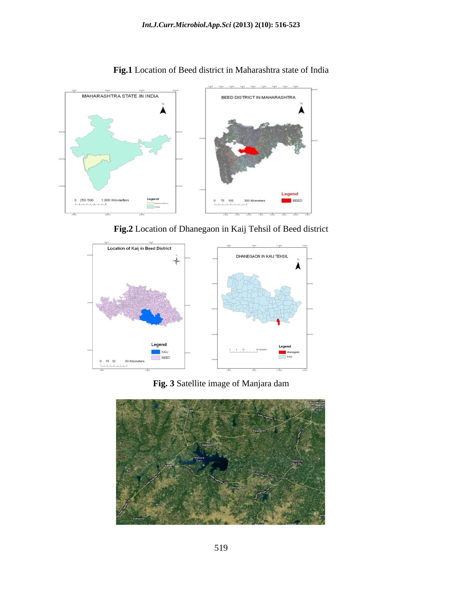

**Fig.1** Location of Beed district in Maharashtra state of India

**Fig.2** Location of Dhanegaon in Kaij Tehsil of Beed district



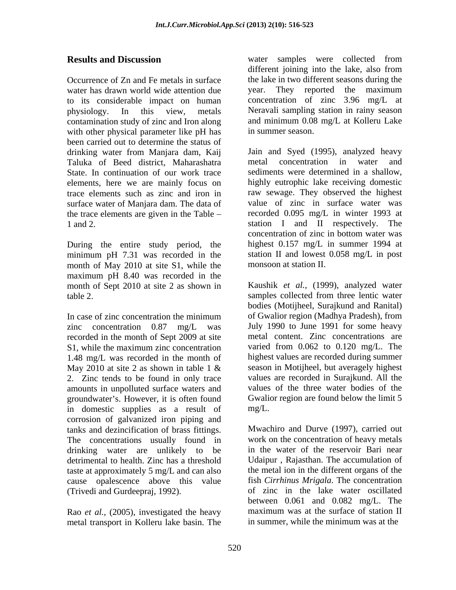Occurrence of Zn and Fe metals in surface the lake in two different seasons during the water has drawn world wide attention due vear. They reported the maximum to its considerable impact on human physiology. In this view, metals Neravali sampling station in rainy season contamination study of zinc and Iron along with other physical parameter like pH has in summer season. been carried out to determine the status of Taluka of Beed district, Maharashatra State. In continuation of our work trace surface water of Manjara dam. The data of the trace elements are given in the Table

During the entire study period, the minimum pH 7.31 was recorded in the month of May 2010 at site S1, while the maximum pH 8.40 was recorded in the month of Sept 2010 at site 2 as shown in

zinc concentration 0.87 mg/L was recorded in the month of Sept 2009 at site 1.48 mg/L was recorded in the month of May 2010 at site 2 as shown in table 1  $\&$ 2. Zinc tends to be found in only trace amounts in unpolluted surface waters and groundwater's. However, it is often found in domestic supplies as a result of mg/L. corrosion of galvanized iron piping and tanks and dezincification of brass fittings. The concentrations usually found in drinking water are unlikely to be detrimental to health. Zinc has a threshold taste at approximately 5 mg/L and can also cause opalescence above this value

Rao *et al.,* (2005), investigated the heavy metal transport in Kolleru lake basin. The

**Results and Discussion** water samples were collected from different joining into the lake, also from year. They reported the maximum concentration of zinc 3.96 mg/L at and minimum 0.08 mg/L at Kolleru Lake in summer season.

drinking water from Manjara dam, Kaij elements, here we are mainly focus on highly eutrophic lake receiving domestic trace elements such as zinc and iron in raw sewage. They observed the highest 1 and 2. The station I and II respectively. The Jain and Syed (1995), analyzed heavy metal concentration in water and sediments were determined in a shallow, value of zinc in surface water was recorded 0.095 mg/L in winter 1993 at concentration of zinc in bottom water was highest 0.157 mg/L in summer 1994 at station II and lowest 0.058 mg/L in post monsoon at station II.

table 2. samples collected from three lentic water In case of zinc concentration the minimum of Gwalior region (Madhya Pradesh), from S1, while the maximum zinc concentration varied from 0.062 to 0.120 mg/L. The Kaushik *et al.,* (1999), analyzed water bodies (Motijheel, Surajkund and Ranital) of Gwalior region (Madhya Pradesh), from July 1990 to June 1991 for some heavy metal content. Zinc concentrations are varied from 0.062 to 0.120 mg/L. The highest values are recorded during summer season in Motijheel, but averagely highest values are recorded in Surajkund. All the values of the three water bodies of the Gwalior region are found below the limit 5  $mg/L$ .

(Trivedi and Gurdeepraj, 1992). of zinc in the lake water oscillated Mwachiro and Durve (1997), carried out work on the concentration of heavy metals in the water of the reservoir Bari near Udaipur , Rajasthan. The accumulation of the metal ion in the different organs of the fish *Cirrhinus Mrigala*. The concentration between 0.061 and 0.082 mg/L. The maximum was at the surface of station II in summer, while the minimum was at the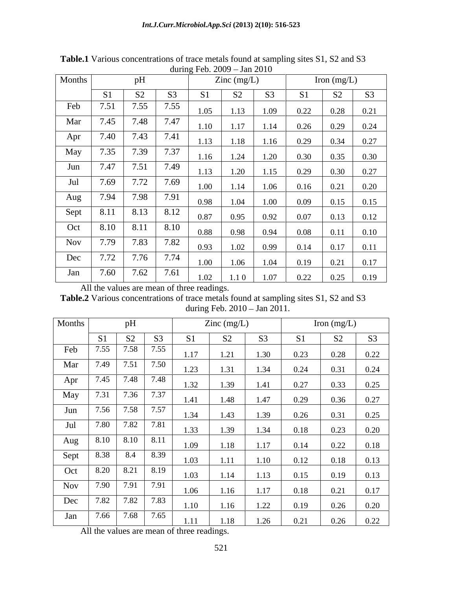|        | $\frac{1}{2}$ . $\frac{1}{2}$ . $\frac{1}{2}$ . $\frac{1}{2}$ . $\frac{1}{2}$ . $\frac{1}{2}$ |                   |                      |                |                  |                |                |                |                |  |  |
|--------|-----------------------------------------------------------------------------------------------|-------------------|----------------------|----------------|------------------|----------------|----------------|----------------|----------------|--|--|
| Months |                                                                                               | pH                | $\text{Zinc}$ (mg/L) |                |                  | Iron $(mg/L)$  |                |                |                |  |  |
|        | S <sub>1</sub>                                                                                | S <sub>2</sub>    | S <sub>3</sub>       | S <sub>1</sub> | S <sub>2</sub>   | S <sub>3</sub> | S <sub>1</sub> | S <sub>2</sub> | S <sub>3</sub> |  |  |
| Feb    | 7.51                                                                                          | 7.55              | 7.55                 | 1.05           | 1.13             | 1.09           | 0.22           | 0.28           | 0.21           |  |  |
| Mar    | 7.45                                                                                          | 7.48              | 7.47                 | 1.10           | 1.17             | 1.14           | 0.26           | 0.29           | 0.24           |  |  |
| Apr    | 7.40                                                                                          | 7.43              | 7.41                 | 1.13           | 1.18             | 1.16           | 0.29           | 0.34           | 0.27           |  |  |
| May    | 7.35                                                                                          | 7.39              | 7.37                 | 1.16           | 1.24             | 1.20           | 0.30           | 0.35           | 0.30           |  |  |
| Jun    | 7.47                                                                                          | 7.51              | 7.49                 | 1.13           | 1.20             | 1.15           | 0.29           | 0.30           | 0.27           |  |  |
| Jul    | 7.69                                                                                          | 7.72              | 7.69                 | 1.00           | 1.14             | 1.06           | 0.16           | 0.21           | 0.20           |  |  |
| Aug    | 7.94                                                                                          | 7.98              | 7.91                 | 0.98           | 1.04             | 1.00           | 0.09           |                | 0.15           |  |  |
| Sept   | 8.11                                                                                          | 8.13              | 8.12                 |                |                  |                |                | 0.15           |                |  |  |
| Oct    | 8.10                                                                                          | 8.11              | 8.10                 | 0.87           | 0.95             | 0.92           | 0.07           | 0.13           | 0.12           |  |  |
|        |                                                                                               |                   |                      | 0.88           | 0.98             | 0.94           | 0.08           | 0.11           | 0.10           |  |  |
| Nov    | 7.79                                                                                          | 7.83              | 7.82                 | 0.93           | 1.02             | 0.99           | 0.14           | 0.17           | 0.11           |  |  |
| Dec    | 7.72                                                                                          | 7.76              | 7.74                 | 1.00           | 1.06             | 1.04           | 0.19           | 0.21           | 0.17           |  |  |
| Jan    | 7.60                                                                                          | $7.\overline{62}$ | 7.61                 | 1.02           | 1.1 <sub>0</sub> | 1.07           | 0.22           | 0.25           | 0.19           |  |  |

**Table.1** Various concentrations of trace metals found at sampling sites S1, S2 and S3 during Feb. 2009 - Jan 2010

All the values are mean of three readings.

**Table.2** Various concentrations of trace metals found at sampling sites S1, S2 and S3 during Feb.  $2010 - \text{Jan } 2011$ .

| Months     |                                 | pH                |                |                | Zinc $(mg/L)$  |                |                | Iron $(mg/L)$  |                |
|------------|---------------------------------|-------------------|----------------|----------------|----------------|----------------|----------------|----------------|----------------|
|            | S1                              | S <sub>2</sub>    | S <sub>3</sub> | S <sub>1</sub> | S <sub>2</sub> | S <sub>3</sub> | S <sub>1</sub> | S <sub>2</sub> | S <sub>3</sub> |
| Feb        | 7.55                            | 7.58              | 7.55           | 1.17           | 1.21           | 1.30           | 0.23           | 0.28           | 0.22           |
| Mar        | 7.49                            |                   | 7.50           | 1.23           | 1.31           | 1.34           | 0.24           | 0.31           | 0.24           |
| Apr        |                                 | 7.45 7.48 7.48    |                | 1.32           | 1.39           | 1.41           | 0.27           | 0.33           | 0.25           |
| May        | 7.31                            | 7.36              | 7.37           | 1.41           | 1.48           | 1.47           | 0.29           | 0.36           | 0.27           |
| Jun        | 7.56                            | 7.58              | 7.57           | 1.34           | 1.43           | 1.39           | 0.26           | 0.31           | 0.25           |
| Jul        | 7.80                            | $7.\overline{82}$ | 7.81           | 1.33           | 1.39           | 1.34           | 0.18           | 0.23           | 0.20           |
| Aug        | $8.10$ $8.\overline{10}$ $8.11$ |                   |                | 1.09           | 1.18           | 1.17           | 0.14           | 0.22           | 0.18           |
| Sept       | 8.38                            | 8.4               | 8.39           | 1.03           | 1.11           | 1.10           | 0.12           | 0.18           | 0.13           |
| Oct        | 8.20   8.21   8.19              |                   |                | 1.03           | 1.14           | 1.13           | 0.15           | 0.19           | 0.13           |
| <b>Nov</b> | 7.90 7.91                       |                   | 7.91           | 1.06           | 1.16           | 1.17           | 0.18           | 0.21           | 0.17           |
| Dec        | 7.82                            | 7.82              | 7.83           | 1.10           | 1.16           | 1.22           | 0.19           | 0.26           | 0.20           |
| Jan        |                                 | 7.66 7.68 7.65    |                | 1.11           | 1.18           | 1.26           | 0.21           | 0.26           | 0.22           |

All the values are mean of three readings.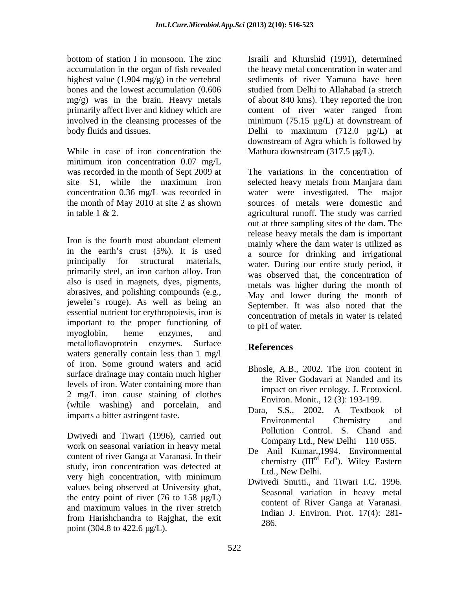highest value  $(1.904 \text{ mg/g})$  in the vertebral involved in the cleansing processes of the minimum  $(75.15 \mu g/L)$  at downstream of

While in case of iron concentration the minimum iron concentration 0.07 mg/L the month of May 2010 at site 2 as shown

Iron is the fourth most abundant element<br>mainly where the dam water is utilized as in the earth's crust  $(5\%)$ . It is used primarily steel, an iron carbon alloy. Iron also is used in magnets, dyes, pigments, abrasives, and polishing compounds (e.g., jeweler's rouge). As well as being an essential nutrient for erythropoiesis, iron is important to the proper functioning of myoglobin, heme enzymes, and metalloflavoprotein enzymes. Surface References waters generally contain less than 1 mg/l of iron. Some ground waters and acid surface drainage may contain much higher levels of iron. Water containing more than 2 mg/L iron cause staining of clothes (while washing) and porcelain, and  $\frac{\text{Envnon. Mont.}}{\text{Dara}}$ , S.S., 2002. A Textbook of

Dwivedi and Tiwari (1996), carried out work on seasonal variation in heavy metal content of river Ganga at Varanasi. In their study, iron concentration was detected at very high concentration, with minimum values being observed at University ghat, the entry point of river  $(76 \text{ to } 158 \text{ µg/L})$ and maximum values in the river stretch from Harishchandra to Rajghat, the exit point (304.8 to 422.6 µg/L).

bottom of station I in monsoon. The zinc lisraili and Khurshid (1991), determined accumulation in the organ of fish revealed the heavy metal concentration in water and bones and the lowest accumulation (0.606 studied from Delhi to Allahabad (a stretch mg/g) was in the brain. Heavy metals of about 840 kms). They reported the iron primarily affect liver and kidney which are content of river water ranged from body fluids and tissues. Delhi to maximum (712.0 µg/L) at sediments of river Yamuna have been minimum (75.15 µg/L) at downstream of downstream of Agra which is followed by Mathura downstream (317.5 µg/L).

was recorded in the month of Sept 2009 at The variations in the concentration of site S1, while the maximum iron selected heavy metals from Manjara dam concentration 0.36 mg/L was recorded in water were investigated. The major in table 1 & 2. agricultural runoff. The study was carried principally for structural materials, water. During our entire study period, it selected heavy metals from Manjara dam sources of metals were domestic and out at three sampling sites of the dam. The release heavy metals the dam is important mainly where the dam water is utilized as a source for drinking and irrigational was observed that, the concentration of metals was higher during the month of May and lower during the month of September. It was also noted that the concentration of metals in water is related to pH of water.

# **References**

- Bhosle, A.B., 2002. The iron content in the River Godavari at Nanded and its impact on river ecology. J. Ecotoxicol. Environ. Monit., 12 (3): 193-199.
- imparts a bitter astringent taste.<br>Environmental Chemistry and Dara, S.S., 2002. A Textbook of Environmental Chemistry and Pollution Control. S. Chand and Company Ltd., New Delhi  $-110$  055.
	- De Anil Kumar.,1994. Environmental chemistry  $(III^{rd}$  Ed<sup>n</sup>). Wiley Eastern <sup>rd</sup> Ed<sup>n</sup>). Wiley Eastern  $\mathbb{E}$  Wilow Eastern ). Wiley Eastern Ltd., New Delhi.
	- Dwivedi Smriti., and Tiwari I.C. 1996. Seasonal variation in heavy metal content of River Ganga at Varanasi. Indian J. Environ. Prot. 17(4): 281- 286.